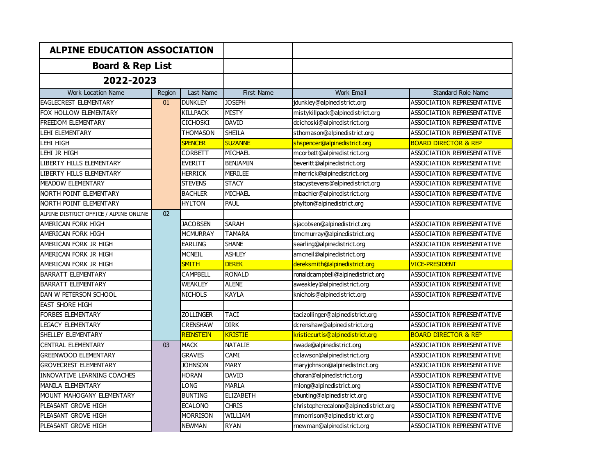| <b>ALPINE EDUCATION ASSOCIATION</b><br><b>Board &amp; Rep List</b><br>2022-2023 |        |                  |                   |                                       |                                   |
|---------------------------------------------------------------------------------|--------|------------------|-------------------|---------------------------------------|-----------------------------------|
|                                                                                 |        |                  |                   |                                       |                                   |
|                                                                                 |        |                  |                   |                                       |                                   |
| Work Location Name                                                              | Region | Last Name        | <b>First Name</b> | <b>Work Email</b>                     | <b>Standard Role Name</b>         |
| <b>EAGLECREST ELEMENTARY</b>                                                    | 01     | <b>DUNKLEY</b>   | <b>JOSEPH</b>     | jdunkley@alpinedistrict.org           | <b>ASSOCIATION REPRESENTATIVE</b> |
| FOX HOLLOW ELEMENTARY                                                           |        | KILLPACK         | <b>MISTY</b>      | mistykillpack@alpinedistrict.org      | ASSOCIATION REPRESENTATIVE        |
| <b>FREEDOM ELEMENTARY</b>                                                       |        | <b>CICHOSKI</b>  | <b>DAVID</b>      | dcichoski@alpinedistrict.org          | ASSOCIATION REPRESENTATIVE        |
| <b>LEHI ELEMENTARY</b>                                                          |        | <b>THOMASON</b>  | <b>SHEILA</b>     | sthomason@alpinedistrict.org          | ASSOCIATION REPRESENTATIVE        |
| LEHI HIGH                                                                       |        | <b>SPENCER</b>   | <b>SUZANNE</b>    | shspencer@alpinedistrict.org          | <b>BOARD DIRECTOR &amp; REP</b>   |
| LEHI JR HIGH                                                                    |        | CORBETT          | <b>MICHAEL</b>    | mcorbett@alpinedistrict.org           | ASSOCIATION REPRESENTATIVE        |
| LIBERTY HILLS ELEMENTARY                                                        |        | EVERITT          | <b>BENJAMIN</b>   | beveritt@alpinedistrict.org           | ASSOCIATION REPRESENTATIVE        |
| LIBERTY HILLS ELEMENTARY                                                        |        | <b>HERRICK</b>   | <b>MERILEE</b>    | mherrick@alpinedistrict.org           | <b>ASSOCIATION REPRESENTATIVE</b> |
| MEADOW ELEMENTARY                                                               |        | <b>STEVENS</b>   | <b>STACY</b>      | stacystevens@alpinedistrict.org       | ASSOCIATION REPRESENTATIVE        |
| NORTH POINT ELEMENTARY                                                          |        | <b>BACHLER</b>   | <b>MICHAEL</b>    | mbachler@alpinedistrict.org           | ASSOCIATION REPRESENTATIVE        |
| NORTH POINT ELEMENTARY                                                          |        | <b>HYLTON</b>    | <b>PAUL</b>       | phylton@alpinedistrict.org            | ASSOCIATION REPRESENTATIVE        |
| ALPINE DISTRICT OFFICE / ALPINE ONLINE                                          | 02     |                  |                   |                                       |                                   |
| AMERICAN FORK HIGH                                                              |        | <b>JACOBSEN</b>  | <b>SARAH</b>      | sjacobsen@alpinedistrict.org          | ASSOCIATION REPRESENTATIVE        |
| AMERICAN FORK HIGH                                                              |        | <b>MCMURRAY</b>  | <b>TAMARA</b>     | tmcmurray@alpinedistrict.org          | ASSOCIATION REPRESENTATIVE        |
| AMERICAN FORK JR HIGH                                                           |        | <b>EARLING</b>   | <b>SHANE</b>      | searling@alpinedistrict.org           | <b>ASSOCIATION REPRESENTATIVE</b> |
| AMERICAN FORK JR HIGH                                                           |        | <b>MCNEIL</b>    | <b>ASHLEY</b>     | amcneil@alpinedistrict.org            | ASSOCIATION REPRESENTATIVE        |
| AMERICAN FORK JR HIGH                                                           |        | <b>SMITH</b>     | <b>DEREK</b>      | dereksmith@alpinedistrict.org         | <b>VICE-PRESIDENT</b>             |
| <b>BARRATT ELEMENTARY</b>                                                       |        | <b>CAMPBELL</b>  | <b>RONALD</b>     | ronaldcampbell@alpinedistrict.org     | <b>ASSOCIATION REPRESENTATIVE</b> |
| <b>BARRATT ELEMENTARY</b>                                                       |        | WEAKLEY          | <b>ALENE</b>      | aweakley@alpinedistrict.org           | <b>ASSOCIATION REPRESENTATIVE</b> |
| <b>DAN W PETERSON SCHOOL</b>                                                    |        | <b>NICHOLS</b>   | <b>KAYLA</b>      | knichols@alpinedistrict.org           | <b>ASSOCIATION REPRESENTATIVE</b> |
| <b>EAST SHORE HIGH</b>                                                          |        |                  |                   |                                       |                                   |
| <b>FORBES ELEMENTARY</b>                                                        |        | <b>ZOLLINGER</b> | <b>TACI</b>       | tacizollinger@alpinedistrict.org      | ASSOCIATION REPRESENTATIVE        |
| <b>LEGACY ELEMENTARY</b>                                                        |        | <b>CRENSHAW</b>  | <b>DIRK</b>       | dcrenshaw@alpinedistrict.org          | ASSOCIATION REPRESENTATIVE        |
| SHELLEY ELEMENTARY                                                              |        | <b>REINSTEIN</b> | <b>KRISTIE</b>    | kristiecurtis@alpinedistrict.org      | <b>BOARD DIRECTOR &amp; REP</b>   |
| <b>CENTRAL ELEMENTARY</b>                                                       | 03     | <b>MACK</b>      | <b>NATALIE</b>    | nwade@alpinedistrict.org              | ASSOCIATION REPRESENTATIVE        |
| <b>GREENWOOD ELEMENTARY</b>                                                     |        | <b>GRAVES</b>    | <b>CAMI</b>       | cclawson@alpinedistrict.org           | ASSOCIATION REPRESENTATIVE        |
| <b>GROVECREST ELEMENTARY</b>                                                    |        | <b>JOHNSON</b>   | <b>MARY</b>       | maryjohnson@alpinedistrict.org        | <b>ASSOCIATION REPRESENTATIVE</b> |
| INNOVATIVE LEARNING COACHES                                                     |        | Horan            | <b>DAVID</b>      | dhoran@alpinedistrict.org             | ASSOCIATION REPRESENTATIVE        |
| <b>MANILA ELEMENTARY</b>                                                        |        | <b>LONG</b>      | <b>MARLA</b>      | mlong@alpinedistrict.org              | ASSOCIATION REPRESENTATIVE        |
| MOUNT MAHOGANY ELEMENTARY                                                       |        | <b>BUNTING</b>   | <b>ELIZABETH</b>  | ebunting@alpinedistrict.org           | ASSOCIATION REPRESENTATIVE        |
| PLEASANT GROVE HIGH                                                             |        | <b>ECALONO</b>   | <b>CHRIS</b>      | christopherecalono@alpinedistrict.org | ASSOCIATION REPRESENTATIVE        |
| PLEASANT GROVE HIGH                                                             |        | Morrison         | WILLIAM           | mmorrison@alpinedistrict.org          | <b>ASSOCIATION REPRESENTATIVE</b> |
| PLEASANT GROVE HIGH                                                             |        | <b>NEWMAN</b>    | <b>RYAN</b>       | rnewman@alpinedistrict.org            | <b>ASSOCIATION REPRESENTATIVE</b> |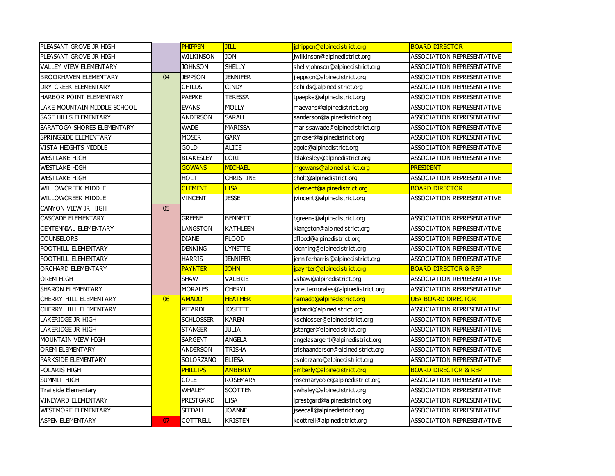| PLEASANT GROVE JR HIGH        |    | <b>PHIPPEN</b>   | JILL             | jphippen@alpinedistrict.org       | <b>BOARD DIRECTOR</b>             |
|-------------------------------|----|------------------|------------------|-----------------------------------|-----------------------------------|
| PLEASANT GROVE JR HIGH        |    | WILKINSON        | <b>JON</b>       | jwilkinson@alpinedistrict.org     | ASSOCIATION REPRESENTATIVE        |
| <b>VALLEY VIEW ELEMENTARY</b> |    | <b>JOHNSON</b>   | <b>SHELLY</b>    | shellyjohnson@alpinedistrict.org  | ASSOCIATION REPRESENTATIVE        |
| <b>BROOKHAVEN ELEMENTARY</b>  | 04 | <b>JEPPSON</b>   | <b>JENNIFER</b>  | jjeppson@alpinedistrict.org       | ASSOCIATION REPRESENTATIVE        |
| DRY CREEK ELEMENTARY          |    | <b>CHILDS</b>    | <b>CINDY</b>     | cchilds@alpinedistrict.org        | <b>ASSOCIATION REPRESENTATIVE</b> |
| HARBOR POINT ELEMENTARY       |    | <b>PAEPKE</b>    | <b>TERESSA</b>   | tpaepke@alpinedistrict.org        | <b>ASSOCIATION REPRESENTATIVE</b> |
| LAKE MOUNTAIN MIDDLE SCHOOL   |    | <b>EVANS</b>     | <b>MOLLY</b>     | maevans@alpinedistrict.org        | ASSOCIATION REPRESENTATIVE        |
| SAGE HILLS ELEMENTARY         |    | <b>ANDERSON</b>  | <b>SARAH</b>     | sanderson@alpinedistrict.org      | <b>ASSOCIATION REPRESENTATIVE</b> |
| SARATOGA SHORES ELEMENTARY    |    | <b>WADE</b>      | <b>MARISSA</b>   | marissawade@alpinedistrict.org    | ASSOCIATION REPRESENTATIVE        |
| SPRINGSIDE ELEMENTARY         |    | <b>MOSER</b>     | <b>GARY</b>      | gmoser@alpinedistrict.org         | <b>ASSOCIATION REPRESENTATIVE</b> |
| <b>VISTA HEIGHTS MIDDLE</b>   |    | <b>GOLD</b>      | <b>ALICE</b>     | agold@alpinedistrict.org          | <b>ASSOCIATION REPRESENTATIVE</b> |
| <b>WESTLAKE HIGH</b>          |    | <b>BLAKESLEY</b> | LORI             | Iblakesley@alpinedistrict.org     | ASSOCIATION REPRESENTATIVE        |
| <b>WESTLAKE HIGH</b>          |    | <b>GOWANS</b>    | <b>MICHAEL</b>   | mgowans@alpinedistrict.org        | <b>PRESIDENT</b>                  |
| <b>WESTLAKE HIGH</b>          |    | <b>HOLT</b>      | <b>CHRISTINE</b> | cholt@alpinedistrict.org          | <b>ASSOCIATION REPRESENTATIVE</b> |
| WILLOWCREEK MIDDLE            |    | <b>CLEMENT</b>   | <b>LISA</b>      | Iclement@alpinedistrict.org       | <b>BOARD DIRECTOR</b>             |
| <b>WILLOWCREEK MIDDLE</b>     |    | <b>VINCENT</b>   | <b>JESSE</b>     | jvincent@alpinedistrict.org       | ASSOCIATION REPRESENTATIVE        |
| CANYON VIEW JR HIGH           | 05 |                  |                  |                                   |                                   |
| <b>CASCADE ELEMENTARY</b>     |    | <b>GREENE</b>    | <b>BENNETT</b>   | bgreene@alpinedistrict.org        | <b>ASSOCIATION REPRESENTATIVE</b> |
| CENTENNIAL ELEMENTARY         |    | <b>ANGSTON</b>   | <b>KATHLEEN</b>  | klangston@alpinedistrict.org      | <b>ASSOCIATION REPRESENTATIVE</b> |
| <b>COUNSELORS</b>             |    | <b>DIANE</b>     | <b>FLOOD</b>     | dflood@alpinedistrict.org         | ASSOCIATION REPRESENTATIVE        |
| FOOTHILL ELEMENTARY           |    | <b>DENNING</b>   | <b>LYNETTE</b>   | Idenning@alpinedistrict.org       | ASSOCIATION REPRESENTATIVE        |
| FOOTHILL ELEMENTARY           |    | <b>HARRIS</b>    | <b>JENNIFER</b>  | jenniferharris@alpinedistrict.org | ASSOCIATION REPRESENTATIVE        |
| ORCHARD ELEMENTARY            |    | <b>PAYNTER</b>   | <b>JOHN</b>      | jpaynter@alpinedistrict.org       | <b>BOARD DIRECTOR &amp; REP</b>   |
| <b>OREM HIGH</b>              |    | <b>SHAW</b>      | <b>VALERIE</b>   | vshaw@alpinedistrict.org          | ASSOCIATION REPRESENTATIVE        |
| <b>SHARON ELEMENTARY</b>      |    | <b>MORALES</b>   | <b>CHERYL</b>    | lynettemorales@alpinedistrict.org | <b>ASSOCIATION REPRESENTATIVE</b> |
| CHERRY HILL ELEMENTARY        | 06 | <b>AMADO</b>     | <b>HEATHER</b>   | hamado@alpinedistrict.org         | <b>UEA BOARD DIRECTOR</b>         |
| CHERRY HILL ELEMENTARY        |    | <b>PITARDI</b>   | <b>JOSETTE</b>   | jpitardi@alpinedistrict.org       | <b>ASSOCIATION REPRESENTATIVE</b> |
| LAKERIDGE JR HIGH             |    | <b>SCHLOSSER</b> | <b>KAREN</b>     | kschlosser@alpinedistrict.org     | ASSOCIATION REPRESENTATIVE        |
| LAKERIDGE JR HIGH             |    | <b>STANGER</b>   | Julia            | istanger@alpinedistrict.org       | ASSOCIATION REPRESENTATIVE        |
| <b>MOUNTAIN VIEW HIGH</b>     |    | <b>SARGENT</b>   | <b>ANGELA</b>    | angelasargent@alpinedistrict.org  | ASSOCIATION REPRESENTATIVE        |
| <b>OREM ELEMENTARY</b>        |    | <b>ANDERSON</b>  | <b>TRISHA</b>    | trishaanderson@alpinedistrict.org | ASSOCIATION REPRESENTATIVE        |
| PARKSIDE ELEMENTARY           |    | SOLORZANO        | <b>ELIESA</b>    | esolorzano@alpinedistrict.org     | ASSOCIATION REPRESENTATIVE        |
| POLARIS HIGH                  |    | <b>PHILLIPS</b>  | <b>AMBERLY</b>   | amberly@alpinedistrict.org        | <b>BOARD DIRECTOR &amp; REP</b>   |
| SUMMIT HIGH                   |    | COLE             | <b>ROSEMARY</b>  | rosemarycole@alpinedistrict.org   | ASSOCIATION REPRESENTATIVE        |
| Trailside Elementary          |    | <b>WHALEY</b>    | <b>SCOTTEN</b>   | swhaley@alpinedistrict.org        | ASSOCIATION REPRESENTATIVE        |
| <b>VINEYARD ELEMENTARY</b>    |    | <b>PRESTGARD</b> | <b>LISA</b>      | Iprestgard@alpinedistrict.org     | ASSOCIATION REPRESENTATIVE        |
| <b>WESTMORE ELEMENTARY</b>    |    | <b>SEEDALL</b>   | <b>JOANNE</b>    | jseedall@alpinedistrict.org       | ASSOCIATION REPRESENTATIVE        |
| <b>ASPEN ELEMENTARY</b>       | 07 | COTTRELL         | <b>KRISTEN</b>   | kcottrell@alpinedistrict.org      | ASSOCIATION REPRESENTATIVE        |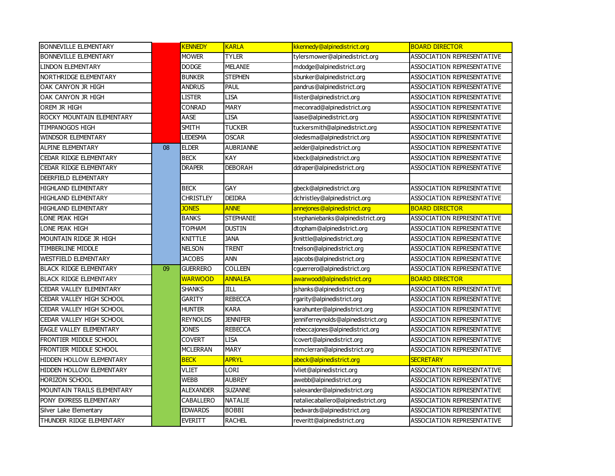| <b>BONNEVILLE ELEMENTARY</b>      |    | <b>KENNEDY</b>   | <b>KARLA</b>     | kkennedy@alpinedistrict.org         | <b>BOARD DIRECTOR</b>             |
|-----------------------------------|----|------------------|------------------|-------------------------------------|-----------------------------------|
| <b>BONNEVILLE ELEMENTARY</b>      |    | <b>MOWER</b>     | <b>TYLER</b>     | tylersmower@alpinedistrict.org      | ASSOCIATION REPRESENTATIVE        |
| <b>LINDON ELEMENTARY</b>          |    | <b>DODGE</b>     | <b>MELANIE</b>   | mdodge@alpinedistrict.org           | <b>ASSOCIATION REPRESENTATIVE</b> |
| NORTHRIDGE ELEMENTARY             |    | <b>BUNKER</b>    | <b>STEPHEN</b>   | sbunker@alpinedistrict.org          | <b>ASSOCIATION REPRESENTATIVE</b> |
| OAK CANYON JR HIGH                |    | ANDRUS           | PAUL             | pandrus@alpinedistrict.org          | <b>ASSOCIATION REPRESENTATIVE</b> |
| OAK CANYON JR HIGH                |    | <b>LISTER</b>    | <b>LISA</b>      | llister@alpinedistrict.org          | <b>ASSOCIATION REPRESENTATIVE</b> |
| OREM JR HIGH                      |    | <b>CONRAD</b>    | <b>MARY</b>      | meconrad@alpinedistrict.org         | ASSOCIATION REPRESENTATIVE        |
| ROCKY MOUNTAIN ELEMENTARY         |    | AASE             | <b>LISA</b>      | laase@alpinedistrict.org            | ASSOCIATION REPRESENTATIVE        |
| TIMPANOGOS HIGH                   |    | SMITH            | <b>TUCKER</b>    | tuckersmith@alpinedistrict.org      | ASSOCIATION REPRESENTATIVE        |
| <b>WINDSOR ELEMENTARY</b>         |    | <b>LEDESMA</b>   | <b>OSCAR</b>     | oledesma@alpinedistrict.org         | <b>ASSOCIATION REPRESENTATIVE</b> |
| <b>ALPINE ELEMENTARY</b>          | 08 | <b>ELDER</b>     | <b>AUBRIANNE</b> | aelder@alpinedistrict.org           | <b>ASSOCIATION REPRESENTATIVE</b> |
| <b>CEDAR RIDGE ELEMENTARY</b>     |    | <b>BECK</b>      | <b>KAY</b>       | kbeck@alpinedistrict.org            | <b>ASSOCIATION REPRESENTATIVE</b> |
| CEDAR RIDGE ELEMENTARY            |    | <b>DRAPER</b>    | <b>DEBORAH</b>   | ddraper@alpinedistrict.org          | <b>ASSOCIATION REPRESENTATIVE</b> |
| DEERFIELD ELEMENTARY              |    |                  |                  |                                     |                                   |
| HIGHLAND ELEMENTARY               |    | <b>BECK</b>      | GAY              | gbeck@alpinedistrict.org            | ASSOCIATION REPRESENTATIVE        |
| HIGHLAND ELEMENTARY               |    | <b>CHRISTLEY</b> | <b>DEIDRA</b>    | dchristley@alpinedistrict.org       | ASSOCIATION REPRESENTATIVE        |
| <b>HIGHLAND ELEMENTARY</b>        |    | <b>JONES</b>     | <b>ANNE</b>      | annejones@alpinedistrict.org        | <b>BOARD DIRECTOR</b>             |
| LONE PEAK HIGH                    |    | <b>BANKS</b>     | <b>STEPHANIE</b> | stephaniebanks@alpinedistrict.org   | <b>ASSOCIATION REPRESENTATIVE</b> |
| LONE PEAK HIGH                    |    | <b>TOPHAM</b>    | <b>DUSTIN</b>    | dtopham@alpinedistrict.org          | <b>ASSOCIATION REPRESENTATIVE</b> |
| MOUNTAIN RIDGE JR HIGH            |    | KNITTLE          | <b>JANA</b>      | jknittle@alpinedistrict.org         | <b>ASSOCIATION REPRESENTATIVE</b> |
| <b>TIMBERLINE MIDDLE</b>          |    | NELSON           | <b>TRENT</b>     | tnelson@alpinedistrict.org          | <b>ASSOCIATION REPRESENTATIVE</b> |
| <b>WESTFIELD ELEMENTARY</b>       |    | JACOBS           | ANN              | ajacobs@alpinedistrict.org          | ASSOCIATION REPRESENTATIVE        |
| <b>BLACK RIDGE ELEMENTARY</b>     | 09 | GUERRERO         | <b>COLLEEN</b>   | cguerrero@alpinedistrict.org        | ASSOCIATION REPRESENTATIVE        |
| <b>BLACK RIDGE ELEMENTARY</b>     |    | <b>WARWOOD</b>   | <b>ANNALEA</b>   | awarwood@alpinedistrict.org         | <b>BOARD DIRECTOR</b>             |
| CEDAR VALLEY ELEMENTARY           |    | SHANKS           | JILL             | jshanks@alpinedistrict.org          | ASSOCIATION REPRESENTATIVE        |
| CEDAR VALLEY HIGH SCHOOL          |    | GARITY           | <b>REBECCA</b>   | rgarity@alpinedistrict.org          | ASSOCIATION REPRESENTATIVE        |
| CEDAR VALLEY HIGH SCHOOL          |    | <b>HUNTER</b>    | <b>KARA</b>      | karahunter@alpinedistrict.org       | <b>ASSOCIATION REPRESENTATIVE</b> |
| CEDAR VALLEY HIGH SCHOOL          |    | <b>REYNOLDS</b>  | <b>JENNIFER</b>  | jenniferreynolds@alpinedistrict.org | <b>ASSOCIATION REPRESENTATIVE</b> |
| <b>EAGLE VALLEY ELEMENTARY</b>    |    | <b>JONES</b>     | <b>REBECCA</b>   | rebeccajones@alpinedistrict.org     | <b>ASSOCIATION REPRESENTATIVE</b> |
| FRONTIER MIDDLE SCHOOL            |    | COVERT           | <b>LISA</b>      | lcovert@alpinedistrict.org          | ASSOCIATION REPRESENTATIVE        |
| FRONTIER MIDDLE SCHOOL            |    | MCLERRAN         | <b>MARY</b>      | mmclerran@alpinedistrict.org        | ASSOCIATION REPRESENTATIVE        |
| HIDDEN HOLLOW ELEMENTARY          |    | <b>BECK</b>      | <b>APRYL</b>     | abeck@alpinedistrict.org            | <b>SECRETARY</b>                  |
| HIDDEN HOLLOW ELEMENTARY          |    | VLIET            | LORI             | lvliet@alpinedistrict.org           | ASSOCIATION REPRESENTATIVE        |
| <b>HORIZON SCHOOL</b>             |    | WEBB             | <b>AUBREY</b>    | awebb@alpinedistrict.org            | ASSOCIATION REPRESENTATIVE        |
| <b>MOUNTAIN TRAILS ELEMENTARY</b> |    | ALEXANDER        | <b>SUZANNE</b>   | salexander@alpinedistrict.org       | ASSOCIATION REPRESENTATIVE        |
| PONY EXPRESS ELEMENTARY           |    | CABALLERO        | <b>NATALIE</b>   | nataliecaballero@alpinedistrict.org | <b>ASSOCIATION REPRESENTATIVE</b> |
| Silver Lake Elementary            |    | <b>EDWARDS</b>   | <b>BOBBI</b>     | bedwards@alpinedistrict.org         | <b>ASSOCIATION REPRESENTATIVE</b> |
| THUNDER RIDGE ELEMENTARY          |    | EVERITT          | <b>RACHEL</b>    | reveritt@alpinedistrict.org         | ASSOCIATION REPRESENTATIVE        |